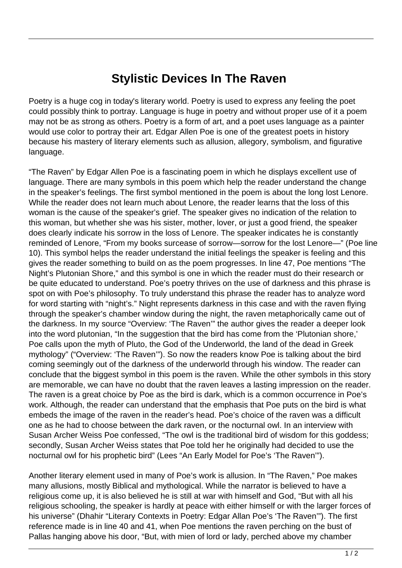## **Stylistic Devices In The Raven**

Poetry is a huge cog in today's literary world. Poetry is used to express any feeling the poet could possibly think to portray. Language is huge in poetry and without proper use of it a poem may not be as strong as others. Poetry is a form of art, and a poet uses language as a painter would use color to portray their art. Edgar Allen Poe is one of the greatest poets in history because his mastery of literary elements such as allusion, allegory, symbolism, and figurative language.

"The Raven" by Edgar Allen Poe is a fascinating poem in which he displays excellent use of language. There are many symbols in this poem which help the reader understand the change in the speaker's feelings. The first symbol mentioned in the poem is about the long lost Lenore. While the reader does not learn much about Lenore, the reader learns that the loss of this woman is the cause of the speaker's grief. The speaker gives no indication of the relation to this woman, but whether she was his sister, mother, lover, or just a good friend, the speaker does clearly indicate his sorrow in the loss of Lenore. The speaker indicates he is constantly reminded of Lenore, "From my books surcease of sorrow—sorrow for the lost Lenore—" (Poe line 10). This symbol helps the reader understand the initial feelings the speaker is feeling and this gives the reader something to build on as the poem progresses. In line 47, Poe mentions "The Night's Plutonian Shore," and this symbol is one in which the reader must do their research or be quite educated to understand. Poe's poetry thrives on the use of darkness and this phrase is spot on with Poe's philosophy. To truly understand this phrase the reader has to analyze word for word starting with "night's." Night represents darkness in this case and with the raven flying through the speaker's chamber window during the night, the raven metaphorically came out of the darkness. In my source "Overview: 'The Raven'" the author gives the reader a deeper look into the word plutonian, "In the suggestion that the bird has come from the 'Plutonian shore,' Poe calls upon the myth of Pluto, the God of the Underworld, the land of the dead in Greek mythology" ("Overview: 'The Raven'"). So now the readers know Poe is talking about the bird coming seemingly out of the darkness of the underworld through his window. The reader can conclude that the biggest symbol in this poem is the raven. While the other symbols in this story are memorable, we can have no doubt that the raven leaves a lasting impression on the reader. The raven is a great choice by Poe as the bird is dark, which is a common occurrence in Poe's work. Although, the reader can understand that the emphasis that Poe puts on the bird is what embeds the image of the raven in the reader's head. Poe's choice of the raven was a difficult one as he had to choose between the dark raven, or the nocturnal owl. In an interview with Susan Archer Weiss Poe confessed, "The owl is the traditional bird of wisdom for this goddess; secondly, Susan Archer Weiss states that Poe told her he originally had decided to use the nocturnal owl for his prophetic bird" (Lees "An Early Model for Poe's 'The Raven'").

Another literary element used in many of Poe's work is allusion. In "The Raven," Poe makes many allusions, mostly Biblical and mythological. While the narrator is believed to have a religious come up, it is also believed he is still at war with himself and God, "But with all his religious schooling, the speaker is hardly at peace with either himself or with the larger forces of his universe" (Dhahir "Literary Contexts in Poetry: Edgar Allan Poe's 'The Raven'"). The first reference made is in line 40 and 41, when Poe mentions the raven perching on the bust of Pallas hanging above his door, "But, with mien of lord or lady, perched above my chamber